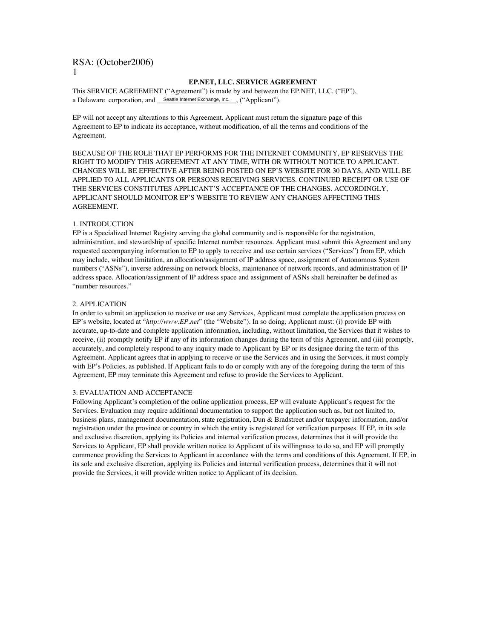#### **EP.NET, LLC. SERVICE AGREEMENT**

This SERVICE AGREEMENT ("Agreement") is made by and between the EP.NET, LLC. ("EP"), a Delaware corporation, and Seattle Internet Exchange, Inc. ("Applicant").

EP will not accept any alterations to this Agreement. Applicant must return the signature page of this Agreement to EP to indicate its acceptance, without modification, of all the terms and conditions of the Agreement.

BECAUSE OF THE ROLE THAT EP PERFORMS FOR THE INTERNET COMMUNITY, EP RESERVES THE RIGHT TO MODIFY THIS AGREEMENT AT ANY TIME, WITH OR WITHOUT NOTICE TO APPLICANT. CHANGES WILL BE EFFECTIVE AFTER BEING POSTED ON EP'S WEBSITE FOR 30 DAYS, AND WILL BE APPLIED TO ALL APPLICANTS OR PERSONS RECEIVING SERVICES. CONTINUED RECEIPT OR USE OF THE SERVICES CONSTITUTES APPLICANT'S ACCEPTANCE OF THE CHANGES. ACCORDINGLY, APPLICANT SHOULD MONITOR EP'S WEBSITE TO REVIEW ANY CHANGES AFFECTING THIS AGREEMENT.

#### 1. INTRODUCTION

EP is a Specialized Internet Registry serving the global community and is responsible for the registration, administration, and stewardship of specific Internet number resources. Applicant must submit this Agreement and any requested accompanying information to EP to apply to receive and use certain services ("Services") from EP, which may include, without limitation, an allocation/assignment of IP address space, assignment of Autonomous System numbers ("ASNs"), inverse addressing on network blocks, maintenance of network records, and administration of IP address space. Allocation/assignment of IP address space and assignment of ASNs shall hereinafter be defined as "number resources."

## 2. APPLICATION

In order to submit an application to receive or use any Services, Applicant must complete the application process on EP's website, located at "*http://www.EP.net*" (the "Website"). In so doing, Applicant must: (i) provide EP with accurate, up-to-date and complete application information, including, without limitation, the Services that it wishes to receive, (ii) promptly notify EP if any of its information changes during the term of this Agreement, and (iii) promptly, accurately, and completely respond to any inquiry made to Applicant by EP or its designee during the term of this Agreement. Applicant agrees that in applying to receive or use the Services and in using the Services, it must comply with EP's Policies, as published. If Applicant fails to do or comply with any of the foregoing during the term of this Agreement, EP may terminate this Agreement and refuse to provide the Services to Applicant.

#### 3. EVALUATION AND ACCEPTANCE

Following Applicant's completion of the online application process, EP will evaluate Applicant's request for the Services. Evaluation may require additional documentation to support the application such as, but not limited to, business plans, management documentation, state registration, Dun & Bradstreet and/or taxpayer information, and/or registration under the province or country in which the entity is registered for verification purposes. If EP, in its sole and exclusive discretion, applying its Policies and internal verification process, determines that it will provide the Services to Applicant, EP shall provide written notice to Applicant of its willingness to do so, and EP will promptly commence providing the Services to Applicant in accordance with the terms and conditions of this Agreement. If EP, in its sole and exclusive discretion, applying its Policies and internal verification process, determines that it will not provide the Services, it will provide written notice to Applicant of its decision.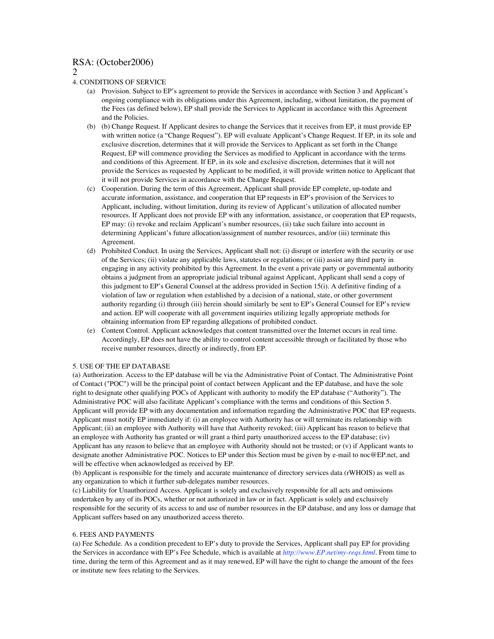2

## 4. CONDITIONS OF SERVICE

- (a) Provision. Subject to EP's agreement to provide the Services in accordance with Section 3 and Applicant's ongoing compliance with its obligations under this Agreement, including, without limitation, the payment of the Fees (as defined below), EP shall provide the Services to Applicant in accordance with this Agreement and the Policies.
- (b) (b) Change Request. If Applicant desires to change the Services that it receives from EP, it must provide EP with written notice (a "Change Request"). EP will evaluate Applicant's Change Request. If EP, in its sole and exclusive discretion, determines that it will provide the Services to Applicant as set forth in the Change Request, EP will commence providing the Services as modified to Applicant in accordance with the terms and conditions of this Agreement. If EP, in its sole and exclusive discretion, determines that it will not provide the Services as requested by Applicant to be modified, it will provide written notice to Applicant that it will not provide Services in accordance with the Change Request.
- (c) Cooperation. During the term of this Agreement, Applicant shall provide EP complete, up-todate and accurate information, assistance, and cooperation that EP requests in EP's provision of the Services to Applicant, including, without limitation, during its review of Applicant's utilization of allocated number resources. If Applicant does not provide EP with any information, assistance, or cooperation that EP requests, EP may: (i) revoke and reclaim Applicant's number resources, (ii) take such failure into account in determining Applicant's future allocation/assignment of number resources, and/or (iii) terminate this Agreement.
- (d) Prohibited Conduct. In using the Services, Applicant shall not: (i) disrupt or interfere with the security or use of the Services; (ii) violate any applicable laws, statutes or regulations; or (iii) assist any third party in engaging in any activity prohibited by this Agreement. In the event a private party or governmental authority obtains a judgment from an appropriate judicial tribunal against Applicant, Applicant shall send a copy of this judgment to EP's General Counsel at the address provided in Section 15(i). A definitive finding of a violation of law or regulation when established by a decision of a national, state, or other government authority regarding (i) through (iii) herein should similarly be sent to EP's General Counsel for EP's review and action. EP will cooperate with all government inquiries utilizing legally appropriate methods for obtaining information from EP regarding allegations of prohibited conduct.
- (e) Content Control. Applicant acknowledges that content transmitted over the Internet occurs in real time. Accordingly, EP does not have the ability to control content accessible through or facilitated by those who receive number resources, directly or indirectly, from EP.

#### 5. USE OF THE EP DATABASE

(a) Authorization. Access to the EP database will be via the Administrative Point of Contact. The Administrative Point of Contact ("POC") will be the principal point of contact between Applicant and the EP database, and have the sole right to designate other qualifying POCs of Applicant with authority to modify the EP database ("Authority"). The Administrative POC will also facilitate Applicant's compliance with the terms and conditions of this Section 5. Applicant will provide EP with any documentation and information regarding the Administrative POC that EP requests. Applicant must notify EP immediately if: (i) an employee with Authority has or will terminate its relationship with Applicant; (ii) an employee with Authority will have that Authority revoked; (iii) Applicant has reason to believe that an employee with Authority has granted or will grant a third party unauthorized access to the EP database; (iv) Applicant has any reason to believe that an employee with Authority should not be trusted; or (v) if Applicant wants to designate another Administrative POC. Notices to EP under this Section must be given by e-mail to noc@EP.net, and will be effective when acknowledged as received by EP.

(b) Applicant is responsible for the timely and accurate maintenance of directory services data (rWHOIS) as well as any organization to which it further sub-delegates number resources.

(c) Liability for Unauthorized Access. Applicant is solely and exclusively responsible for all acts and omissions undertaken by any of its POCs, whether or not authorized in law or in fact. Applicant is solely and exclusively responsible for the security of its access to and use of number resources in the EP database, and any loss or damage that Applicant suffers based on any unauthorized access thereto.

#### 6. FEES AND PAYMENTS

(a) Fee Schedule. As a condition precedent to EP's duty to provide the Services, Applicant shall pay EP for providing the Services in accordance with EP's Fee Schedule, which is available at *http://www.EP.net/my-reqs.html*. From time to time, during the term of this Agreement and as it may renewed, EP will have the right to change the amount of the fees or institute new fees relating to the Services.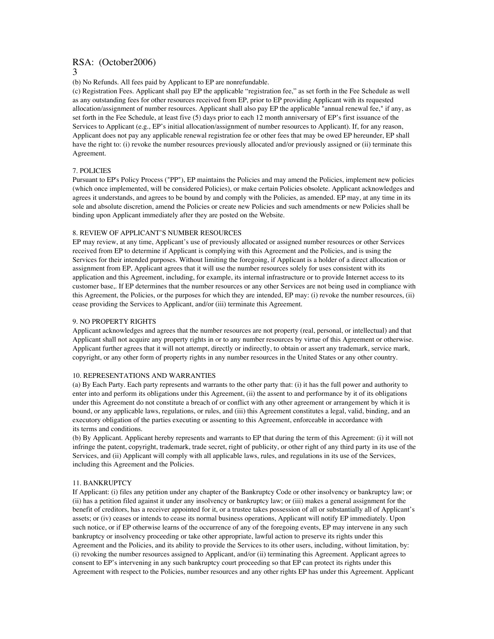(b) No Refunds. All fees paid by Applicant to EP are nonrefundable.

(c) Registration Fees. Applicant shall pay EP the applicable "registration fee," as set forth in the Fee Schedule as well as any outstanding fees for other resources received from EP, prior to EP providing Applicant with its requested allocation/assignment of number resources. Applicant shall also pay EP the applicable "annual renewal fee," if any, as set forth in the Fee Schedule, at least five (5) days prior to each 12 month anniversary of EP's first issuance of the Services to Applicant (e.g., EP's initial allocation/assignment of number resources to Applicant). If, for any reason, Applicant does not pay any applicable renewal registration fee or other fees that may be owed EP hereunder, EP shall have the right to: (i) revoke the number resources previously allocated and/or previously assigned or (ii) terminate this Agreement.

## 7. POLICIES

Pursuant to EP's Policy Process ("PP"), EP maintains the Policies and may amend the Policies, implement new policies (which once implemented, will be considered Policies), or make certain Policies obsolete. Applicant acknowledges and agrees it understands, and agrees to be bound by and comply with the Policies, as amended. EP may, at any time in its sole and absolute discretion, amend the Policies or create new Policies and such amendments or new Policies shall be binding upon Applicant immediately after they are posted on the Website.

## 8. REVIEW OF APPLICANT'S NUMBER RESOURCES

EP may review, at any time, Applicant's use of previously allocated or assigned number resources or other Services received from EP to determine if Applicant is complying with this Agreement and the Policies, and is using the Services for their intended purposes. Without limiting the foregoing, if Applicant is a holder of a direct allocation or assignment from EP, Applicant agrees that it will use the number resources solely for uses consistent with its application and this Agreement, including, for example, its internal infrastructure or to provide Internet access to its customer base,. If EP determines that the number resources or any other Services are not being used in compliance with this Agreement, the Policies, or the purposes for which they are intended, EP may: (i) revoke the number resources, (ii) cease providing the Services to Applicant, and/or (iii) terminate this Agreement.

#### 9. NO PROPERTY RIGHTS

Applicant acknowledges and agrees that the number resources are not property (real, personal, or intellectual) and that Applicant shall not acquire any property rights in or to any number resources by virtue of this Agreement or otherwise. Applicant further agrees that it will not attempt, directly or indirectly, to obtain or assert any trademark, service mark, copyright, or any other form of property rights in any number resources in the United States or any other country.

#### 10. REPRESENTATIONS AND WARRANTIES

(a) By Each Party. Each party represents and warrants to the other party that: (i) it has the full power and authority to enter into and perform its obligations under this Agreement, (ii) the assent to and performance by it of its obligations under this Agreement do not constitute a breach of or conflict with any other agreement or arrangement by which it is bound, or any applicable laws, regulations, or rules, and (iii) this Agreement constitutes a legal, valid, binding, and an executory obligation of the parties executing or assenting to this Agreement, enforceable in accordance with its terms and conditions.

(b) By Applicant. Applicant hereby represents and warrants to EP that during the term of this Agreement: (i) it will not infringe the patent, copyright, trademark, trade secret, right of publicity, or other right of any third party in its use of the Services, and (ii) Applicant will comply with all applicable laws, rules, and regulations in its use of the Services, including this Agreement and the Policies.

#### 11. BANKRUPTCY

If Applicant: (i) files any petition under any chapter of the Bankruptcy Code or other insolvency or bankruptcy law; or (ii) has a petition filed against it under any insolvency or bankruptcy law; or (iii) makes a general assignment for the benefit of creditors, has a receiver appointed for it, or a trustee takes possession of all or substantially all of Applicant's assets; or (iv) ceases or intends to cease its normal business operations, Applicant will notify EP immediately. Upon such notice, or if EP otherwise learns of the occurrence of any of the foregoing events, EP may intervene in any such bankruptcy or insolvency proceeding or take other appropriate, lawful action to preserve its rights under this Agreement and the Policies, and its ability to provide the Services to its other users, including, without limitation, by: (i) revoking the number resources assigned to Applicant, and/or (ii) terminating this Agreement. Applicant agrees to consent to EP's intervening in any such bankruptcy court proceeding so that EP can protect its rights under this Agreement with respect to the Policies, number resources and any other rights EP has under this Agreement. Applicant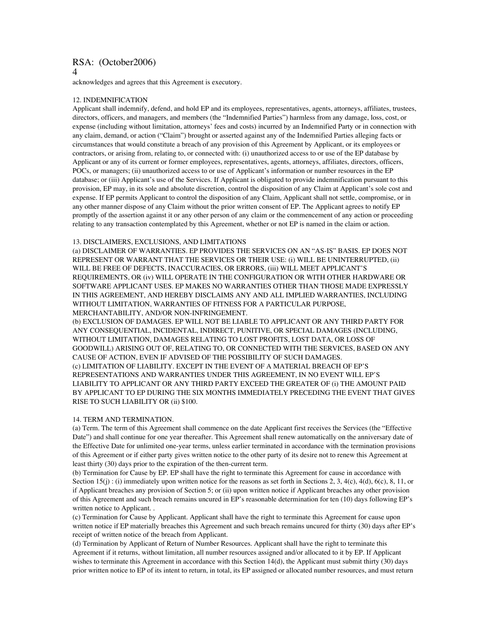acknowledges and agrees that this Agreement is executory.

#### 12. INDEMNIFICATION

Applicant shall indemnify, defend, and hold EP and its employees, representatives, agents, attorneys, affiliates, trustees, directors, officers, and managers, and members (the "Indemnified Parties") harmless from any damage, loss, cost, or expense (including without limitation, attorneys' fees and costs) incurred by an Indemnified Party or in connection with any claim, demand, or action ("Claim") brought or asserted against any of the Indemnified Parties alleging facts or circumstances that would constitute a breach of any provision of this Agreement by Applicant, or its employees or contractors, or arising from, relating to, or connected with: (i) unauthorized access to or use of the EP database by Applicant or any of its current or former employees, representatives, agents, attorneys, affiliates, directors, officers, POCs, or managers; (ii) unauthorized access to or use of Applicant's information or number resources in the EP database; or (iii) Applicant's use of the Services. If Applicant is obligated to provide indemnification pursuant to this provision, EP may, in its sole and absolute discretion, control the disposition of any Claim at Applicant's sole cost and expense. If EP permits Applicant to control the disposition of any Claim, Applicant shall not settle, compromise, or in any other manner dispose of any Claim without the prior written consent of EP. The Applicant agrees to notify EP promptly of the assertion against it or any other person of any claim or the commencement of any action or proceeding relating to any transaction contemplated by this Agreement, whether or not EP is named in the claim or action.

#### 13. DISCLAIMERS, EXCLUSIONS, AND LIMITATIONS

(a) DISCLAIMER OF WARRANTIES. EP PROVIDES THE SERVICES ON AN "AS-IS" BASIS. EP DOES NOT REPRESENT OR WARRANT THAT THE SERVICES OR THEIR USE: (i) WILL BE UNINTERRUPTED, (ii) WILL BE FREE OF DEFECTS, INACCURACIES, OR ERRORS, (iii) WILL MEET APPLICANT'S REQUIREMENTS, OR (iv) WILL OPERATE IN THE CONFIGURATION OR WITH OTHER HARDWARE OR SOFTWARE APPLICANT USES. EP MAKES NO WARRANTIES OTHER THAN THOSE MADE EXPRESSLY IN THIS AGREEMENT, AND HEREBY DISCLAIMS ANY AND ALL IMPLIED WARRANTIES, INCLUDING WITHOUT LIMITATION, WARRANTIES OF FITNESS FOR A PARTICULAR PURPOSE, MERCHANTABILITY, AND/OR NON-INFRINGEMENT.

(b) EXCLUSION OF DAMAGES. EP WILL NOT BE LIABLE TO APPLICANT OR ANY THIRD PARTY FOR ANY CONSEQUENTIAL, INCIDENTAL, INDIRECT, PUNITIVE, OR SPECIAL DAMAGES (INCLUDING, WITHOUT LIMITATION, DAMAGES RELATING TO LOST PROFITS, LOST DATA, OR LOSS OF GOODWILL) ARISING OUT OF, RELATING TO, OR CONNECTED WITH THE SERVICES, BASED ON ANY CAUSE OF ACTION, EVEN IF ADVISED OF THE POSSIBILITY OF SUCH DAMAGES. (c) LIMITATION OF LIABILITY. EXCEPT IN THE EVENT OF A MATERIAL BREACH OF EP'S REPRESENTATIONS AND WARRANTIES UNDER THIS AGREEMENT, IN NO EVENT WILL EP'S LIABILITY TO APPLICANT OR ANY THIRD PARTY EXCEED THE GREATER OF (i) THE AMOUNT PAID BY APPLICANT TO EP DURING THE SIX MONTHS IMMEDIATELY PRECEDING THE EVENT THAT GIVES RISE TO SUCH LIABILITY OR (ii) \$100.

#### 14. TERM AND TERMINATION.

(a) Term. The term of this Agreement shall commence on the date Applicant first receives the Services (the "Effective Date") and shall continue for one year thereafter. This Agreement shall renew automatically on the anniversary date of the Effective Date for unlimited one-year terms, unless earlier terminated in accordance with the termination provisions of this Agreement or if either party gives written notice to the other party of its desire not to renew this Agreement at least thirty (30) days prior to the expiration of the then-current term.

(b) Termination for Cause by EP. EP shall have the right to terminate this Agreement for cause in accordance with Section 15(j): (i) immediately upon written notice for the reasons as set forth in Sections 2, 3, 4(c), 4(d), 6(c), 8, 11, or if Applicant breaches any provision of Section 5; or (ii) upon written notice if Applicant breaches any other provision of this Agreement and such breach remains uncured in EP's reasonable determination for ten (10) days following EP's written notice to Applicant. .

(c) Termination for Cause by Applicant. Applicant shall have the right to terminate this Agreement for cause upon written notice if EP materially breaches this Agreement and such breach remains uncured for thirty (30) days after EP's receipt of written notice of the breach from Applicant.

(d) Termination by Applicant of Return of Number Resources. Applicant shall have the right to terminate this Agreement if it returns, without limitation, all number resources assigned and/or allocated to it by EP. If Applicant wishes to terminate this Agreement in accordance with this Section 14(d), the Applicant must submit thirty (30) days prior written notice to EP of its intent to return, in total, its EP assigned or allocated number resources, and must return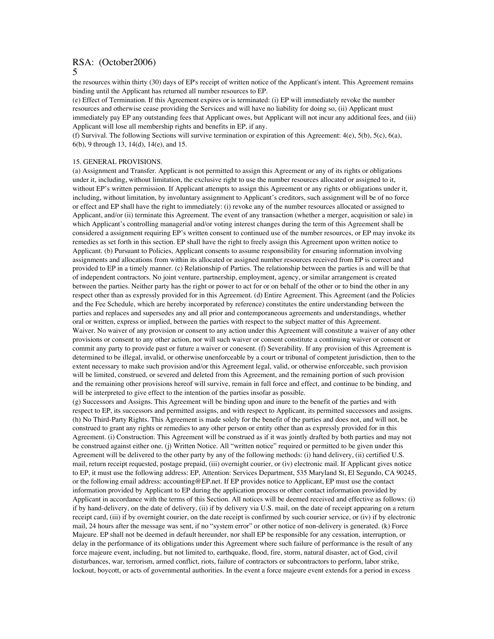the resources within thirty (30) days of EP's receipt of written notice of the Applicant's intent. This Agreement remains binding until the Applicant has returned all number resources to EP.

(e) Effect of Termination. If this Agreement expires or is terminated: (i) EP will immediately revoke the number resources and otherwise cease providing the Services and will have no liability for doing so, (ii) Applicant must immediately pay EP any outstanding fees that Applicant owes, but Applicant will not incur any additional fees, and (iii) Applicant will lose all membership rights and benefits in EP, if any.

(f) Survival. The following Sections will survive termination or expiration of this Agreement: 4(e), 5(b), 5(c), 6(a), 6(b), 9 through 13, 14(d), 14(e), and 15.

#### 15. GENERAL PROVISIONS.

(a) Assignment and Transfer. Applicant is not permitted to assign this Agreement or any of its rights or obligations under it, including, without limitation, the exclusive right to use the number resources allocated or assigned to it, without EP's written permission. If Applicant attempts to assign this Agreement or any rights or obligations under it, including, without limitation, by involuntary assignment to Applicant's creditors, such assignment will be of no force or effect and EP shall have the right to immediately: (i) revoke any of the number resources allocated or assigned to Applicant, and/or (ii) terminate this Agreement. The event of any transaction (whether a merger, acquisition or sale) in which Applicant's controlling managerial and/or voting interest changes during the term of this Agreement shall be considered a assignment requiring EP's written consent to continued use of the number resources, or EP may invoke its remedies as set forth in this section. EP shall have the right to freely assign this Agreement upon written notice to Applicant. (b) Pursuant to Policies, Applicant consents to assume responsibility for ensuring information involving assignments and allocations from within its allocated or assigned number resources received from EP is correct and provided to EP in a timely manner. (c) Relationship of Parties. The relationship between the parties is and will be that of independent contractors. No joint venture, partnership, employment, agency, or similar arrangement is created between the parties. Neither party has the right or power to act for or on behalf of the other or to bind the other in any respect other than as expressly provided for in this Agreement. (d) Entire Agreement. This Agreement (and the Policies and the Fee Schedule, which are hereby incorporated by reference) constitutes the entire understanding between the parties and replaces and supersedes any and all prior and contemporaneous agreements and understandings, whether oral or written, express or implied, between the parties with respect to the subject matter of this Agreement. Waiver. No waiver of any provision or consent to any action under this Agreement will constitute a waiver of any other provisions or consent to any other action, nor will such waiver or consent constitute a continuing waiver or consent or commit any party to provide past or future a waiver or conesent. (f) Severability. If any provision of this Agreement is determined to be illegal, invalid, or otherwise unenforceable by a court or tribunal of competent jurisdiction, then to the extent necessary to make such provision and/or this Agreement legal, valid, or otherwise enforceable, such provision will be limited, construed, or severed and deleted from this Agreement, and the remaining portion of such provision and the remaining other provisions hereof will survive, remain in full force and effect, and continue to be binding, and will be interpreted to give effect to the intention of the parties insofar as possible.

(g) Successors and Assigns. This Agreement will be binding upon and inure to the benefit of the parties and with respect to EP, its successors and permitted assigns, and with respect to Applicant, its permitted successors and assigns. (h) No Third-Party Rights. This Agreement is made solely for the benefit of the parties and does not, and will not, be construed to grant any rights or remedies to any other person or entity other than as expressly provided for in this Agreement. (i) Construction. This Agreement will be construed as if it was jointly drafted by both parties and may not be construed against either one. (j) Written Notice. All "written notice" required or permitted to be given under this Agreement will be delivered to the other party by any of the following methods: (i) hand delivery, (ii) certified U.S. mail, return receipt requested, postage prepaid, (iii) overnight courier, or (iv) electronic mail. If Applicant gives notice to EP, it must use the following address: EP, Attention: Services Department, 535 Maryland St, El Segundo, CA 90245, or the following email address: accounting@EP.net. If EP provides notice to Applicant, EP must use the contact information provided by Applicant to EP during the application process or other contact information provided by Applicant in accordance with the terms of this Section. All notices will be deemed received and effective as follows: (i) if by hand-delivery, on the date of delivery, (ii) if by delivery via U.S. mail, on the date of receipt appearing on a return receipt card, (iii) if by overnight courier, on the date receipt is confirmed by such courier service, or (iv) if by electronic mail, 24 hours after the message was sent, if no "system error" or other notice of non-delivery is generated. (k) Force Majeure. EP shall not be deemed in default hereunder, nor shall EP be responsible for any cessation, interruption, or delay in the performance of its obligations under this Agreement where such failure of performance is the result of any force majeure event, including, but not limited to, earthquake, flood, fire, storm, natural disaster, act of God, civil disturbances, war, terrorism, armed conflict, riots, failure of contractors or subcontractors to perform, labor strike, lockout, boycott, or acts of governmental authorities. In the event a force majeure event extends for a period in excess